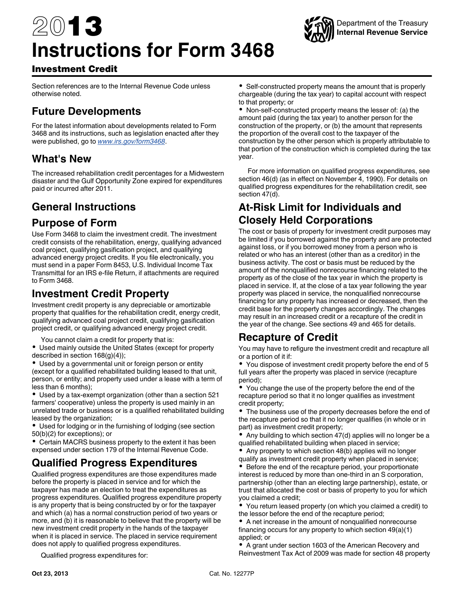# 2013 **Instructions for Form 3468**



## Investment Credit

Section references are to the Internal Revenue Code unless otherwise noted.

# **Future Developments**

For the latest information about developments related to Form 3468 and its instructions, such as legislation enacted after they were published, go to *[www.irs.gov/form3468](http://www.irs.gov/form3468)*.

# **What's New**

The increased rehabilitation credit percentages for a Midwestern disaster and the Gulf Opportunity Zone expired for expenditures paid or incurred after 2011.

# **General Instructions**

## **Purpose of Form**

Use Form 3468 to claim the investment credit. The investment credit consists of the rehabilitation, energy, qualifying advanced coal project, qualifying gasification project, and qualifying advanced energy project credits. If you file electronically, you must send in a paper Form 8453, U.S. Individual Income Tax Transmittal for an IRS e-file Return, if attachments are required to Form 3468.

# **Investment Credit Property**

Investment credit property is any depreciable or amortizable property that qualifies for the rehabilitation credit, energy credit, qualifying advanced coal project credit, qualifying gasification project credit, or qualifying advanced energy project credit.

You cannot claim a credit for property that is:

Used mainly outside the United States (except for property described in section 168(g)(4));

Used by a governmental unit or foreign person or entity (except for a qualified rehabilitated building leased to that unit, person, or entity; and property used under a lease with a term of less than 6 months);

Used by a tax-exempt organization (other than a section 521 farmers' cooperative) unless the property is used mainly in an unrelated trade or business or is a qualified rehabilitated building leased by the organization;

Used for lodging or in the furnishing of lodging (see section 50(b)(2) for exceptions); or

Certain MACRS business property to the extent it has been expensed under section 179 of the Internal Revenue Code.

# **Qualified Progress Expenditures**

Qualified progress expenditures are those expenditures made before the property is placed in service and for which the taxpayer has made an election to treat the expenditures as progress expenditures. Qualified progress expenditure property is any property that is being constructed by or for the taxpayer and which (a) has a normal construction period of two years or more, and (b) it is reasonable to believe that the property will be new investment credit property in the hands of the taxpayer when it is placed in service. The placed in service requirement does not apply to qualified progress expenditures.

Qualified progress expenditures for:

Self-constructed property means the amount that is properly chargeable (during the tax year) to capital account with respect to that property; or

Non-self-constructed property means the lesser of: (a) the amount paid (during the tax year) to another person for the construction of the property, or (b) the amount that represents the proportion of the overall cost to the taxpayer of the construction by the other person which is properly attributable to that portion of the construction which is completed during the tax year.

For more information on qualified progress expenditures, see section 46(d) (as in effect on November 4, 1990). For details on qualified progress expenditures for the rehabilitation credit, see section 47(d).

# **At-Risk Limit for Individuals and Closely Held Corporations**

The cost or basis of property for investment credit purposes may be limited if you borrowed against the property and are protected against loss, or if you borrowed money from a person who is related or who has an interest (other than as a creditor) in the business activity. The cost or basis must be reduced by the amount of the nonqualified nonrecourse financing related to the property as of the close of the tax year in which the property is placed in service. If, at the close of a tax year following the year property was placed in service, the nonqualified nonrecourse financing for any property has increased or decreased, then the credit base for the property changes accordingly. The changes may result in an increased credit or a recapture of the credit in the year of the change. See sections 49 and 465 for details.

# **Recapture of Credit**

You may have to refigure the investment credit and recapture all or a portion of it if:

You dispose of investment credit property before the end of 5 full years after the property was placed in service (recapture period);

You change the use of the property before the end of the recapture period so that it no longer qualifies as investment credit property;

The business use of the property decreases before the end of the recapture period so that it no longer qualifies (in whole or in part) as investment credit property;

Any building to which section 47(d) applies will no longer be a qualified rehabilitated building when placed in service;

 $\bullet$ Any property to which section 48(b) applies will no longer qualify as investment credit property when placed in service;

 $\bullet$  Before the end of the recapture period, your proportionate interest is reduced by more than one-third in an S corporation, partnership (other than an electing large partnership), estate, or trust that allocated the cost or basis of property to you for which you claimed a credit;

You return leased property (on which you claimed a credit) to the lessor before the end of the recapture period;

A net increase in the amount of nonqualified nonrecourse financing occurs for any property to which section 49(a)(1) applied; or

A grant under section 1603 of the American Recovery and Reinvestment Tax Act of 2009 was made for section 48 property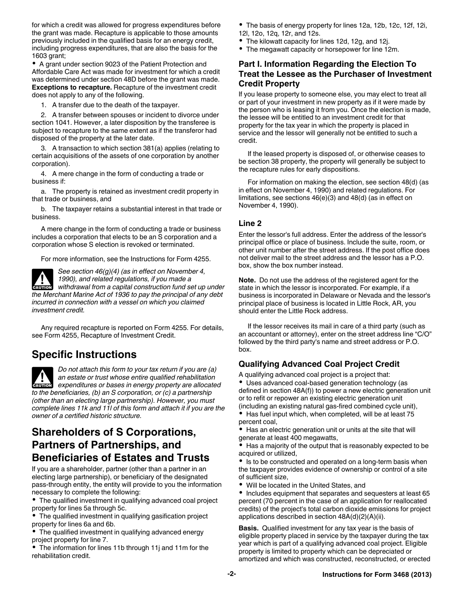for which a credit was allowed for progress expenditures before the grant was made. Recapture is applicable to those amounts previously included in the qualified basis for an energy credit, including progress expenditures, that are also the basis for the 1603 grant;

• A grant under section 9023 of the Patient Protection and Affordable Care Act was made for investment for which a credit was determined under section 48D before the grant was made. **Exceptions to recapture.** Recapture of the investment credit does not apply to any of the following.

1. A transfer due to the death of the taxpayer.

2. A transfer between spouses or incident to divorce under section 1041. However, a later disposition by the transferee is subject to recapture to the same extent as if the transferor had disposed of the property at the later date.

3. A transaction to which section 381(a) applies (relating to certain acquisitions of the assets of one corporation by another corporation).

4. A mere change in the form of conducting a trade or business if:

a. The property is retained as investment credit property in that trade or business, and

b. The taxpayer retains a substantial interest in that trade or business.

A mere change in the form of conducting a trade or business includes a corporation that elects to be an S corporation and a corporation whose S election is revoked or terminated.

For more information, see the Instructions for Form 4255.



*See section 46(g)(4) (as in effect on November 4, 1990), and related regulations, if you made a*  **Property 1990), and related regulations, if you made a withdrawal from a capital construction fund set up under** 

*the Merchant Marine Act of 1936 to pay the principal of any debt incurred in connection with a vessel on which you claimed investment credit.*

Any required recapture is reported on Form 4255. For details, see Form 4255, Recapture of Investment Credit.

## **Specific Instructions**

*Do not attach this form to your tax return if you are (a) an estate or trust whose entire qualified rehabilitation*  **Expenditures or bases in energy property are allocated** *expenditures or bases in energy property are allocated to the beneficiaries, (b) an S corporation, or (c) a partnership (other than an electing large partnership). However, you must complete lines 11k and 11l of this form and attach it if you are the owner of a certified historic structure.*

# **Shareholders of S Corporations, Partners of Partnerships, and Beneficiaries of Estates and Trusts**

If you are a shareholder, partner (other than a partner in an electing large partnership), or beneficiary of the designated pass-through entity, the entity will provide to you the information necessary to complete the following:

The qualified investment in qualifying advanced coal project property for lines 5a through 5c.

The qualified investment in qualifying gasification project property for lines 6a and 6b.

The qualified investment in qualifying advanced energy project property for line 7.

The information for lines 11b through 11j and 11m for the rehabilitation credit.

The basis of energy property for lines 12a, 12b, 12c, 12f, 12i, 12l, 12o, 12q, 12r, and 12s.

The kilowatt capacity for lines 12d, 12g, and 12j.

The megawatt capacity or horsepower for line 12m.

## **Part I. Information Regarding the Election To Treat the Lessee as the Purchaser of Investment Credit Property**

If you lease property to someone else, you may elect to treat all or part of your investment in new property as if it were made by the person who is leasing it from you. Once the election is made, the lessee will be entitled to an investment credit for that property for the tax year in which the property is placed in service and the lessor will generally not be entitled to such a credit.

If the leased property is disposed of, or otherwise ceases to be section 38 property, the property will generally be subject to the recapture rules for early dispositions.

For information on making the election, see section 48(d) (as in effect on November 4, 1990) and related regulations. For limitations, see sections 46(e)(3) and 48(d) (as in effect on November 4, 1990).

### **Line 2**

Enter the lessor's full address. Enter the address of the lessor's principal office or place of business. Include the suite, room, or other unit number after the street address. If the post office does not deliver mail to the street address and the lessor has a P.O. box, show the box number instead.

**Note.** Do not use the address of the registered agent for the state in which the lessor is incorporated. For example, if a business is incorporated in Delaware or Nevada and the lessor's principal place of business is located in Little Rock, AR, you should enter the Little Rock address.

If the lessor receives its mail in care of a third party (such as an accountant or attorney), enter on the street address line "C/O" followed by the third party's name and street address or P.O. box.

## **Qualifying Advanced Coal Project Credit**

A qualifying advanced coal project is a project that:

Uses advanced coal-based generation technology (as defined in section 48A(f)) to power a new electric generation unit or to refit or repower an existing electric generation unit (including an existing natural gas-fired combined cycle unit), Has fuel input which, when completed, will be at least 75 percent coal,

• Has an electric generation unit or units at the site that will generate at least 400 megawatts,

• Has a majority of the output that is reasonably expected to be acquired or utilized,

• Is to be constructed and operated on a long-term basis when the taxpayer provides evidence of ownership or control of a site of sufficient size,

Will be located in the United States, and

• Includes equipment that separates and sequesters at least 65 percent (70 percent in the case of an application for reallocated credits) of the project's total carbon dioxide emissions for project applications described in section 48A(d)(2)(A)(ii).

**Basis.** Qualified investment for any tax year is the basis of eligible property placed in service by the taxpayer during the tax year which is part of a qualifying advanced coal project. Eligible property is limited to property which can be depreciated or amortized and which was constructed, reconstructed, or erected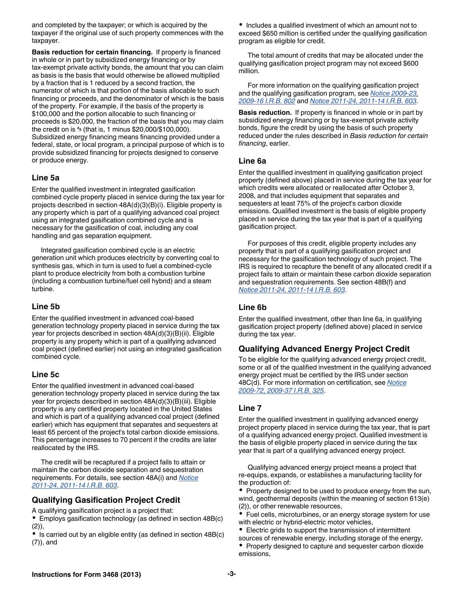and completed by the taxpayer; or which is acquired by the taxpayer if the original use of such property commences with the taxpayer.

**Basis reduction for certain financing.** If property is financed in whole or in part by subsidized energy financing or by tax-exempt private activity bonds, the amount that you can claim as basis is the basis that would otherwise be allowed multiplied by a fraction that is 1 reduced by a second fraction, the numerator of which is that portion of the basis allocable to such financing or proceeds, and the denominator of which is the basis of the property. For example, if the basis of the property is \$100,000 and the portion allocable to such financing or proceeds is \$20,000, the fraction of the basis that you may claim the credit on is **<sup>4</sup> <sup>5</sup>** (that is, 1 minus \$20,000/\$100,000). Subsidized energy financing means financing provided under a federal, state, or local program, a principal purpose of which is to provide subsidized financing for projects designed to conserve or produce energy.

#### **Line 5a**

Enter the qualified investment in integrated gasification combined cycle property placed in service during the tax year for projects described in section 48A(d)(3)(B)(i). Eligible property is any property which is part of a qualifying advanced coal project using an integrated gasification combined cycle and is necessary for the gasification of coal, including any coal handling and gas separation equipment.

Integrated gasification combined cycle is an electric generation unit which produces electricity by converting coal to synthesis gas, which in turn is used to fuel a combined-cycle plant to produce electricity from both a combustion turbine (including a combustion turbine/fuel cell hybrid) and a steam turbine.

#### **Line 5b**

Enter the qualified investment in advanced coal-based generation technology property placed in service during the tax year for projects described in section 48A(d)(3)(B)(ii). Eligible property is any property which is part of a qualifying advanced coal project (defined earlier) not using an integrated gasification combined cycle.

#### **Line 5c**

Enter the qualified investment in advanced coal-based generation technology property placed in service during the tax year for projects described in section 48A(d)(3)(B)(iii). Eligible property is any certified property located in the United States and which is part of a qualifying advanced coal project (defined earlier) which has equipment that separates and sequesters at least 65 percent of the project's total carbon dioxide emissions. This percentage increases to 70 percent if the credits are later reallocated by the IRS.

The credit will be recaptured if a project fails to attain or maintain the carbon dioxide separation and sequestration requirements. For details, see section 48A(i) and *[Notice](http://www.irs.gov/pub/irs-irbs/irb11-14.pdf)  [2011-24, 2011-14 I.R.B. 603](http://www.irs.gov/pub/irs-irbs/irb11-14.pdf)*.

## **Qualifying Gasification Project Credit**

A qualifying gasification project is a project that:

Employs gasification technology (as defined in section 48B(c) (2)),

• Is carried out by an eligible entity (as defined in section 48B(c) (7)), and

• Includes a qualified investment of which an amount not to exceed \$650 million is certified under the qualifying gasification program as eligible for credit.

The total amount of credits that may be allocated under the qualifying gasification project program may not exceed \$600 million.

For more information on the qualifying gasification project and the qualifying gasification program, see *[Notice 2009-23,](http://www.irs.gov/pub/irs-irbs/irb09-16.pdf) [2009-16 I.R.B. 802](http://www.irs.gov/pub/irs-irbs/irb09-16.pdf)* and *[Notice 2011-24, 2011-14 I.R.B. 603](http://www.irs.gov/pub/irs-irbs/irb11-14.pdf)*.

**Basis reduction.** If property is financed in whole or in part by subsidized energy financing or by tax-exempt private activity bonds, figure the credit by using the basis of such property reduced under the rules described in *Basis reduction for certain financing*, earlier.

#### **Line 6a**

Enter the qualified investment in qualifying gasification project property (defined above) placed in service during the tax year for which credits were allocated or reallocated after October 3, 2008, and that includes equipment that separates and sequesters at least 75% of the project's carbon dioxide emissions. Qualified investment is the basis of eligible property placed in service during the tax year that is part of a qualifying gasification project.

For purposes of this credit, eligible property includes any property that is part of a qualifying gasification project and necessary for the gasification technology of such project. The IRS is required to recapture the benefit of any allocated credit if a project fails to attain or maintain these carbon dioxide separation and sequestration requirements. See section 48B(f) and *[Notice 2011-24, 2011-14 I.R.B. 603](http://www.irs.gov/pub/irs-irbs/irb11-14.pdf)*.

## **Line 6b**

Enter the qualified investment, other than line 6a, in qualifying gasification project property (defined above) placed in service during the tax year.

## **Qualifying Advanced Energy Project Credit**

To be eligible for the qualifying advanced energy project credit, some or all of the qualified investment in the qualifying advanced energy project must be certified by the IRS under section 48C(d). For more information on certification, see *[Notice](http://www.irs.gov/irb/2009-37_IRB/ar06.html)  [2009-72, 2009-37 I.R.B. 325](http://www.irs.gov/irb/2009-37_IRB/ar06.html)*.

## **Line 7**

Enter the qualified investment in qualifying advanced energy project property placed in service during the tax year, that is part of a qualifying advanced energy project. Qualified investment is the basis of eligible property placed in service during the tax year that is part of a qualifying advanced energy project.

Qualifying advanced energy project means a project that re-equips, expands, or establishes a manufacturing facility for the production of:

Property designed to be used to produce energy from the sun, wind, geothermal deposits (within the meaning of section 613(e) (2)), or other renewable resources,

Fuel cells, microturbines, or an energy storage system for use with electric or hybrid-electric motor vehicles,

- Electric grids to support the transmission of intermittent
- sources of renewable energy, including storage of the energy, • Property designed to capture and sequester carbon dioxide
- emissions,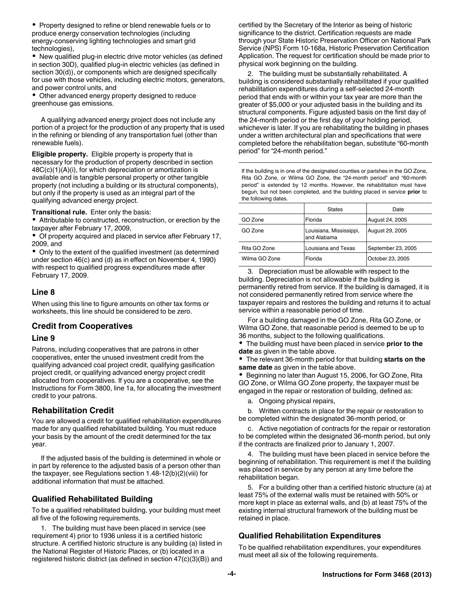Property designed to refine or blend renewable fuels or to produce energy conservation technologies (including energy-conserving lighting technologies and smart grid technologies),

New qualified plug-in electric drive motor vehicles (as defined in section 30D), qualified plug-in electric vehicles (as defined in section 30(d)), or components which are designed specifically for use with those vehicles, including electric motors, generators, and power control units, and

Other advanced energy property designed to reduce greenhouse gas emissions.

A qualifying advanced energy project does not include any portion of a project for the production of any property that is used in the refining or blending of any transportation fuel (other than renewable fuels).

**Eligible property.** Eligible property is property that is necessary for the production of property described in section  $48C(c)(1)(A)(i)$ , for which depreciation or amortization is available and is tangible personal property or other tangible property (not including a building or its structural components), but only if the property is used as an integral part of the qualifying advanced energy project.

**Transitional rule.** Enter only the basis:

Attributable to constructed, reconstruction, or erection by the taxpayer after February 17, 2009,

Of property acquired and placed in service after February 17, 2009, and

Only to the extent of the qualified investment (as determined under section 46(c) and (d) as in effect on November 4, 1990) with respect to qualified progress expenditures made after February 17, 2009.

#### **Line 8**

When using this line to figure amounts on other tax forms or worksheets, this line should be considered to be zero.

#### **Credit from Cooperatives**

#### **Line 9**

Patrons, including cooperatives that are patrons in other cooperatives, enter the unused investment credit from the qualifying advanced coal project credit, qualifying gasification project credit, or qualifying advanced energy project credit allocated from cooperatives. If you are a cooperative, see the Instructions for Form 3800, line 1a, for allocating the investment credit to your patrons.

#### **Rehabilitation Credit**

You are allowed a credit for qualified rehabilitation expenditures made for any qualified rehabilitated building. You must reduce your basis by the amount of the credit determined for the tax year.

If the adjusted basis of the building is determined in whole or in part by reference to the adjusted basis of a person other than the taxpayer, see Regulations section 1.48-12(b)(2)(viii) for additional information that must be attached.

#### **Qualified Rehabilitated Building**

To be a qualified rehabilitated building, your building must meet all five of the following requirements.

1. The building must have been placed in service (see requirement 4) prior to 1936 unless it is a certified historic structure. A certified historic structure is any building (a) listed in the National Register of Historic Places, or (b) located in a registered historic district (as defined in section 47(c)(3)(B)) and certified by the Secretary of the Interior as being of historic significance to the district. Certification requests are made through your State Historic Preservation Officer on National Park Service (NPS) Form 10-168a, Historic Preservation Certification Application. The request for certification should be made prior to physical work beginning on the building.

2. The building must be substantially rehabilitated. A building is considered substantially rehabilitated if your qualified rehabilitation expenditures during a self-selected 24-month period that ends with or within your tax year are more than the greater of \$5,000 or your adjusted basis in the building and its structural components. Figure adjusted basis on the first day of the 24-month period or the first day of your holding period, whichever is later. If you are rehabilitating the building in phases under a written architectural plan and specifications that were completed before the rehabilitation began, substitute "60-month period" for "24-month period."

If the building is in one of the designated counties or parishes in the GO Zone, Rita GO Zone, or Wilma GO Zone, the "24-month period" and "60-month period" is extended by 12 months. However, the rehabilitation must have begun, but not been completed, and the building placed in service **prior** to the following dates.

|               | <b>States</b>                          | Date               |
|---------------|----------------------------------------|--------------------|
| GO Zone       | Florida                                | August 24, 2005    |
| GO Zone       | Louisiana, Mississippi,<br>and Alabama | August 29, 2005    |
| Rita GO Zone  | Louisiana and Texas                    | September 23, 2005 |
| Wilma GO Zone | Florida                                | October 23, 2005   |

3. Depreciation must be allowable with respect to the building. Depreciation is not allowable if the building is permanently retired from service. If the building is damaged, it is not considered permanently retired from service where the taxpayer repairs and restores the building and returns it to actual service within a reasonable period of time.

For a building damaged in the GO Zone, Rita GO Zone, or Wilma GO Zone, that reasonable period is deemed to be up to 36 months, subject to the following qualifications.

The building must have been placed in service **prior to the date** as given in the table above.

The relevant 36-month period for that building **starts on the same date** as given in the table above.

Beginning no later than August 15, 2006, for GO Zone, Rita GO Zone, or Wilma GO Zone property, the taxpayer must be engaged in the repair or restoration of building, defined as:

a. Ongoing physical repairs,

b. Written contracts in place for the repair or restoration to be completed within the designated 36-month period, or

c. Active negotiation of contracts for the repair or restoration to be completed within the designated 36-month period, but only if the contracts are finalized prior to January 1, 2007.

4. The building must have been placed in service before the beginning of rehabilitation. This requirement is met if the building was placed in service by any person at any time before the rehabilitation began.

5. For a building other than a certified historic structure (a) at least 75% of the external walls must be retained with 50% or more kept in place as external walls, and (b) at least 75% of the existing internal structural framework of the building must be retained in place.

#### **Qualified Rehabilitation Expenditures**

To be qualified rehabilitation expenditures, your expenditures must meet all six of the following requirements.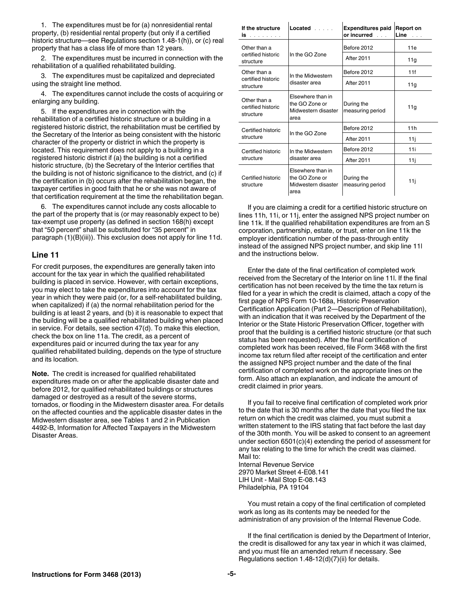1. The expenditures must be for (a) nonresidential rental property, (b) residential rental property (but only if a certified historic structure—see Regulations section 1.48-1(h)), or (c) real property that has a class life of more than 12 years.

2. The expenditures must be incurred in connection with the rehabilitation of a qualified rehabilitated building.

3. The expenditures must be capitalized and depreciated using the straight line method.

4. The expenditures cannot include the costs of acquiring or enlarging any building.

5. If the expenditures are in connection with the rehabilitation of a certified historic structure or a building in a registered historic district, the rehabilitation must be certified by the Secretary of the Interior as being consistent with the historic character of the property or district in which the property is located. This requirement does not apply to a building in a registered historic district if (a) the building is not a certified historic structure, (b) the Secretary of the Interior certifies that the building is not of historic significance to the district, and (c) if the certification in (b) occurs after the rehabilitation began, the taxpayer certifies in good faith that he or she was not aware of that certification requirement at the time the rehabilitation began.

6. The expenditures cannot include any costs allocable to the part of the property that is (or may reasonably expect to be) tax-exempt use property (as defined in section 168(h) except that "50 percent" shall be substituted for "35 percent" in paragraph (1)(B)(iii)). This exclusion does not apply for line 11d.

#### **Line 11**

For credit purposes, the expenditures are generally taken into account for the tax year in which the qualified rehabilitated building is placed in service. However, with certain exceptions, you may elect to take the expenditures into account for the tax year in which they were paid (or, for a self-rehabilitated building, when capitalized) if (a) the normal rehabilitation period for the building is at least 2 years, and (b) it is reasonable to expect that the building will be a qualified rehabilitated building when placed in service. For details, see section 47(d). To make this election, check the box on line 11a. The credit, as a percent of expenditures paid or incurred during the tax year for any qualified rehabilitated building, depends on the type of structure and its location.

**Note.** The credit is increased for qualified rehabilitated expenditures made on or after the applicable disaster date and before 2012, for qualified rehabilitated buildings or structures damaged or destroyed as a result of the severe storms, tornados, or flooding in the Midwestern disaster area. For details on the affected counties and the applicable disaster dates in the Midwestern disaster area, see Tables 1 and 2 in Publication 4492-B, Information for Affected Taxpayers in the Midwestern Disaster Areas.

| If the structure<br>is a communication            | $Located$                                                          | <b>Expenditures paid</b><br>or incurred $\ldots$ | <b>Report on</b><br>$Line \t{}$ |
|---------------------------------------------------|--------------------------------------------------------------------|--------------------------------------------------|---------------------------------|
| Other than a                                      |                                                                    | Before 2012                                      | 11e                             |
| certified historic<br>structure                   | In the GO Zone                                                     | <b>After 2011</b>                                | 11g                             |
| Other than a                                      | In the Midwestern                                                  | Before 2012                                      | 11f                             |
| certified historic<br>structure                   | disaster area                                                      | <b>After 2011</b>                                | 11q                             |
| Other than a<br>certified historic<br>structure   | Elsewhere than in<br>the GO Zone or<br>Midwestern disaster<br>area | During the<br>measuring period                   | 11g                             |
| Certified historic<br>In the GO Zone<br>structure | Before 2012                                                        | 11h                                              |                                 |
|                                                   |                                                                    | <b>After 2011</b>                                | 11j                             |
| Certified historic<br>structure                   | In the Midwestern<br>disaster area                                 | Before 2012                                      | 11 i                            |
|                                                   |                                                                    | <b>After 2011</b>                                | 11j                             |
| Certified historic<br>structure                   | Elsewhere than in<br>the GO Zone or<br>Midwestern disaster<br>area | During the<br>measuring period                   | 11j                             |

If you are claiming a credit for a certified historic structure on lines 11h, 11i, or 11j, enter the assigned NPS project number on line 11k. If the qualified rehabilitation expenditures are from an S corporation, partnership, estate, or trust, enter on line 11k the employer identification number of the pass-through entity instead of the assigned NPS project number, and skip line 11l and the instructions below.

Enter the date of the final certification of completed work received from the Secretary of the Interior on line 11l. If the final certification has not been received by the time the tax return is filed for a year in which the credit is claimed, attach a copy of the first page of NPS Form 10-168a, Historic Preservation Certification Application (Part 2—Description of Rehabilitation), with an indication that it was received by the Department of the Interior or the State Historic Preservation Officer, together with proof that the building is a certified historic structure (or that such status has been requested). After the final certification of completed work has been received, file Form 3468 with the first income tax return filed after receipt of the certification and enter the assigned NPS project number and the date of the final certification of completed work on the appropriate lines on the form. Also attach an explanation, and indicate the amount of credit claimed in prior years.

If you fail to receive final certification of completed work prior to the date that is 30 months after the date that you filed the tax return on which the credit was claimed, you must submit a written statement to the IRS stating that fact before the last day of the 30th month. You will be asked to consent to an agreement under section 6501(c)(4) extending the period of assessment for any tax relating to the time for which the credit was claimed. Mail to:

Internal Revenue Service 2970 Market Street 4-E08.141 LIH Unit - Mail Stop E-08.143 Philadelphia, PA 19104

You must retain a copy of the final certification of completed work as long as its contents may be needed for the administration of any provision of the Internal Revenue Code.

If the final certification is denied by the Department of Interior, the credit is disallowed for any tax year in which it was claimed, and you must file an amended return if necessary. See Regulations section 1.48-12(d)(7)(ii) for details.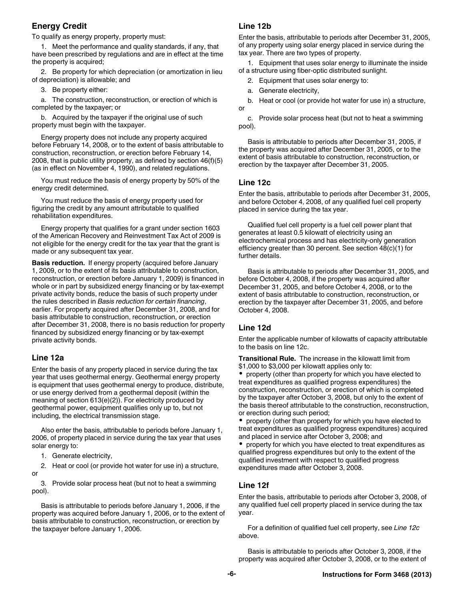## **Energy Credit**

To qualify as energy property, property must:

1. Meet the performance and quality standards, if any, that have been prescribed by regulations and are in effect at the time the property is acquired;

2. Be property for which depreciation (or amortization in lieu of depreciation) is allowable; and

3. Be property either:

a. The construction, reconstruction, or erection of which is completed by the taxpayer; or

b. Acquired by the taxpayer if the original use of such property must begin with the taxpayer.

Energy property does not include any property acquired before February 14, 2008, or to the extent of basis attributable to construction, reconstruction, or erection before February 14, 2008, that is public utility property, as defined by section 46(f)(5) (as in effect on November 4, 1990), and related regulations.

You must reduce the basis of energy property by 50% of the energy credit determined.

You must reduce the basis of energy property used for figuring the credit by any amount attributable to qualified rehabilitation expenditures.

Energy property that qualifies for a grant under section 1603 of the American Recovery and Reinvestment Tax Act of 2009 is not eligible for the energy credit for the tax year that the grant is made or any subsequent tax year.

**Basis reduction.** If energy property (acquired before January 1, 2009, or to the extent of its basis attributable to construction, reconstruction, or erection before January 1, 2009) is financed in whole or in part by subsidized energy financing or by tax-exempt private activity bonds, reduce the basis of such property under the rules described in *Basis reduction for certain financing*, earlier. For property acquired after December 31, 2008, and for basis attributable to construction, reconstruction, or erection after December 31, 2008, there is no basis reduction for property financed by subsidized energy financing or by tax-exempt private activity bonds.

#### **Line 12a**

Enter the basis of any property placed in service during the tax year that uses geothermal energy. Geothermal energy property is equipment that uses geothermal energy to produce, distribute, or use energy derived from a geothermal deposit (within the meaning of section 613(e)(2)). For electricity produced by geothermal power, equipment qualifies only up to, but not including, the electrical transmission stage.

Also enter the basis, attributable to periods before January 1, 2006, of property placed in service during the tax year that uses solar energy to:

1. Generate electricity,

2. Heat or cool (or provide hot water for use in) a structure, or

3. Provide solar process heat (but not to heat a swimming pool).

Basis is attributable to periods before January 1, 2006, if the property was acquired before January 1, 2006, or to the extent of basis attributable to construction, reconstruction, or erection by the taxpayer before January 1, 2006.

#### **Line 12b**

Enter the basis, attributable to periods after December 31, 2005, of any property using solar energy placed in service during the tax year. There are two types of property.

1. Equipment that uses solar energy to illuminate the inside of a structure using fiber-optic distributed sunlight.

- 2. Equipment that uses solar energy to:
- a. Generate electricity,

b. Heat or cool (or provide hot water for use in) a structure, or

c. Provide solar process heat (but not to heat a swimming pool).

Basis is attributable to periods after December 31, 2005, if the property was acquired after December 31, 2005, or to the extent of basis attributable to construction, reconstruction, or erection by the taxpayer after December 31, 2005.

#### **Line 12c**

Enter the basis, attributable to periods after December 31, 2005, and before October 4, 2008, of any qualified fuel cell property placed in service during the tax year.

Qualified fuel cell property is a fuel cell power plant that generates at least 0.5 kilowatt of electricity using an electrochemical process and has electricity-only generation efficiency greater than 30 percent. See section 48(c)(1) for further details.

Basis is attributable to periods after December 31, 2005, and before October 4, 2008, if the property was acquired after December 31, 2005, and before October 4, 2008, or to the extent of basis attributable to construction, reconstruction, or erection by the taxpayer after December 31, 2005, and before October 4, 2008.

#### **Line 12d**

Enter the applicable number of kilowatts of capacity attributable to the basis on line 12c.

**Transitional Rule.** The increase in the kilowatt limit from \$1,000 to \$3,000 per kilowatt applies only to:

property (other than property for which you have elected to treat expenditures as qualified progress expenditures) the construction, reconstruction, or erection of which is completed by the taxpayer after October 3, 2008, but only to the extent of the basis thereof attributable to the construction, reconstruction, or erection during such period;

property (other than property for which you have elected to treat expenditures as qualified progress expenditures) acquired and placed in service after October 3, 2008; and

property for which you have elected to treat expenditures as qualified progress expenditures but only to the extent of the qualified investment with respect to qualified progress expenditures made after October 3, 2008.

## **Line 12f**

Enter the basis, attributable to periods after October 3, 2008, of any qualified fuel cell property placed in service during the tax year.

For a definition of qualified fuel cell property, see *Line 12c*  above.

Basis is attributable to periods after October 3, 2008, if the property was acquired after October 3, 2008, or to the extent of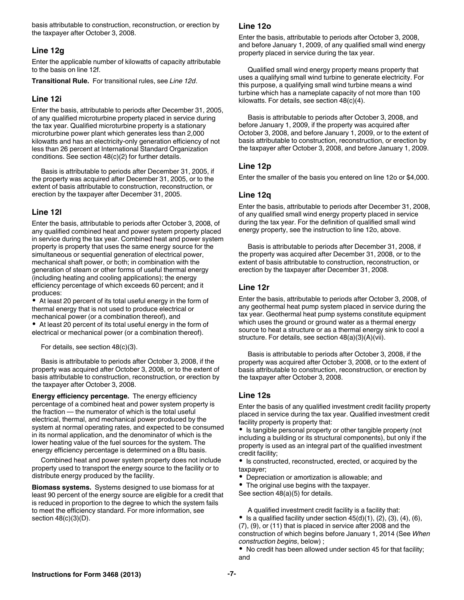basis attributable to construction, reconstruction, or erection by the taxpayer after October 3, 2008.

#### **Line 12g**

Enter the applicable number of kilowatts of capacity attributable to the basis on line 12f.

**Transitional Rule.** For transitional rules, see *Line 12d*.

#### **Line 12i**

Enter the basis, attributable to periods after December 31, 2005, of any qualified microturbine property placed in service during the tax year. Qualified microturbine property is a stationary microturbine power plant which generates less than 2,000 kilowatts and has an electricity-only generation efficiency of not less than 26 percent at International Standard Organization conditions. See section 48(c)(2) for further details.

Basis is attributable to periods after December 31, 2005, if the property was acquired after December 31, 2005, or to the extent of basis attributable to construction, reconstruction, or erection by the taxpayer after December 31, 2005.

#### **Line 12l**

Enter the basis, attributable to periods after October 3, 2008, of any qualified combined heat and power system property placed in service during the tax year. Combined heat and power system property is property that uses the same energy source for the simultaneous or sequential generation of electrical power, mechanical shaft power, or both; in combination with the generation of steam or other forms of useful thermal energy (including heating and cooling applications); the energy efficiency percentage of which exceeds 60 percent; and it produces:

At least 20 percent of its total useful energy in the form of thermal energy that is not used to produce electrical or mechanical power (or a combination thereof), and

At least 20 percent of its total useful energy in the form of electrical or mechanical power (or a combination thereof).

For details, see section 48(c)(3).

Basis is attributable to periods after October 3, 2008, if the property was acquired after October 3, 2008, or to the extent of basis attributable to construction, reconstruction, or erection by the taxpayer after October 3, 2008.

**Energy efficiency percentage.** The energy efficiency percentage of a combined heat and power system property is the fraction — the numerator of which is the total useful electrical, thermal, and mechanical power produced by the system at normal operating rates, and expected to be consumed in its normal application, and the denominator of which is the lower heating value of the fuel sources for the system. The energy efficiency percentage is determined on a Btu basis.

Combined heat and power system property does not include property used to transport the energy source to the facility or to distribute energy produced by the facility.

**Biomass systems.** Systems designed to use biomass for at least 90 percent of the energy source are eligible for a credit that is reduced in proportion to the degree to which the system fails to meet the efficiency standard. For more information, see section 48(c)(3)(D).

#### **Line 12o**

Enter the basis, attributable to periods after October 3, 2008, and before January 1, 2009, of any qualified small wind energy property placed in service during the tax year.

Qualified small wind energy property means property that uses a qualifying small wind turbine to generate electricity. For this purpose, a qualifying small wind turbine means a wind turbine which has a nameplate capacity of not more than 100 kilowatts. For details, see section 48(c)(4).

Basis is attributable to periods after October 3, 2008, and before January 1, 2009, if the property was acquired after October 3, 2008, and before January 1, 2009, or to the extent of basis attributable to construction, reconstruction, or erection by the taxpayer after October 3, 2008, and before January 1, 2009.

#### **Line 12p**

Enter the smaller of the basis you entered on line 12o or \$4,000.

#### **Line 12q**

Enter the basis, attributable to periods after December 31, 2008, of any qualified small wind energy property placed in service during the tax year. For the definition of qualified small wind energy property, see the instruction to line 12o, above.

Basis is attributable to periods after December 31, 2008, if the property was acquired after December 31, 2008, or to the extent of basis attributable to construction, reconstruction, or erection by the taxpayer after December 31, 2008.

#### **Line 12r**

Enter the basis, attributable to periods after October 3, 2008, of any geothermal heat pump system placed in service during the tax year. Geothermal heat pump systems constitute equipment which uses the ground or ground water as a thermal energy source to heat a structure or as a thermal energy sink to cool a structure. For details, see section 48(a)(3)(A)(vii).

Basis is attributable to periods after October 3, 2008, if the property was acquired after October 3, 2008, or to the extent of basis attributable to construction, reconstruction, or erection by the taxpayer after October 3, 2008.

#### **Line 12s**

Enter the basis of any qualified investment credit facility property placed in service during the tax year. Qualified investment credit facility property is property that:

• Is tangible personal property or other tangible property (not including a building or its structural components), but only if the property is used as an integral part of the qualified investment credit facility;

Is constructed, reconstructed, erected, or acquired by the taxpayer;

Depreciation or amortization is allowable; and

The original use begins with the taxpayer. See section 48(a)(5) for details.

A qualified investment credit facility is a facility that:

 $\bullet$  Is a qualified facility under section  $45(d)(1)$ , (2), (3), (4), (6), (7), (9), or (11) that is placed in service after 2008 and the construction of which begins before January 1, 2014 (See *When construction begins*, below) ;

No credit has been allowed under section 45 for that facility; and